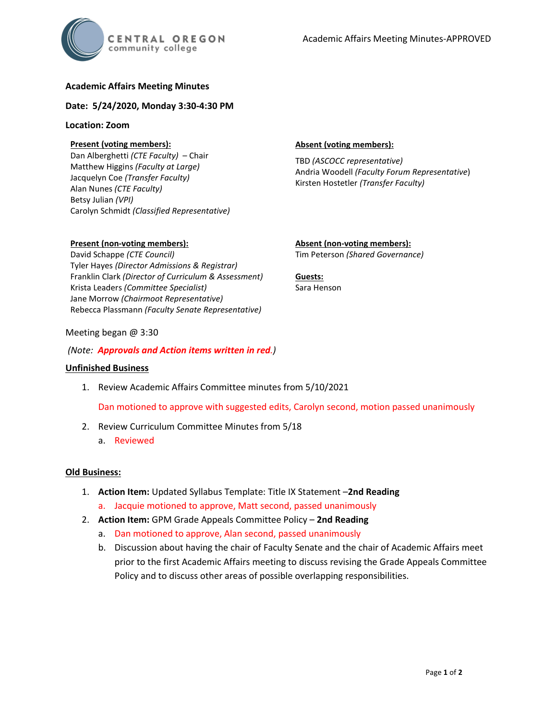## **Academic Affairs Meeting Minutes**

### **Date: 5/24/2020, Monday 3:30-4:30 PM**

### **Location: Zoom**

## **Present (voting members):**

Dan Alberghetti *(CTE Faculty)* – Chair Matthew Higgins *(Faculty at Large)* Jacquelyn Coe *(Transfer Faculty)*  Alan Nunes *(CTE Faculty)* Betsy Julian *(VPI)* Carolyn Schmidt *(Classified Representative)*

### **Absent (voting members):**

TBD *(ASCOCC representative)* Andria Woodell *(Faculty Forum Representative*) Kirsten Hostetler *(Transfer Faculty)*

### **Present (non-voting members):**

David Schappe *(CTE Council)* Tyler Hayes *(Director Admissions & Registrar)* Franklin Clark *(Director of Curriculum & Assessment)* Krista Leaders *(Committee Specialist)* Jane Morrow *(Chairmoot Representative)* Rebecca Plassmann *(Faculty Senate Representative)*

# **Absent (non-voting members):**

Tim Peterson *(Shared Governance)*

### **Guests:** Sara Henson

### Meeting began @ 3:30

*(Note: Approvals and Action items written in red.)*

### **Unfinished Business**

1. Review Academic Affairs Committee minutes from 5/10/2021

Dan motioned to approve with suggested edits, Carolyn second, motion passed unanimously

- 2. Review Curriculum Committee Minutes from 5/18
	- a. Reviewed

### **Old Business:**

- 1. **Action Item:** Updated Syllabus Template: Title IX Statement –**2nd Reading**
	- a. Jacquie motioned to approve, Matt second, passed unanimously
- 2. **Action Item:** GPM Grade Appeals Committee Policy **2nd Reading**
	- a. Dan motioned to approve, Alan second, passed unanimously
	- b. Discussion about having the chair of Faculty Senate and the chair of Academic Affairs meet prior to the first Academic Affairs meeting to discuss revising the Grade Appeals Committee Policy and to discuss other areas of possible overlapping responsibilities.